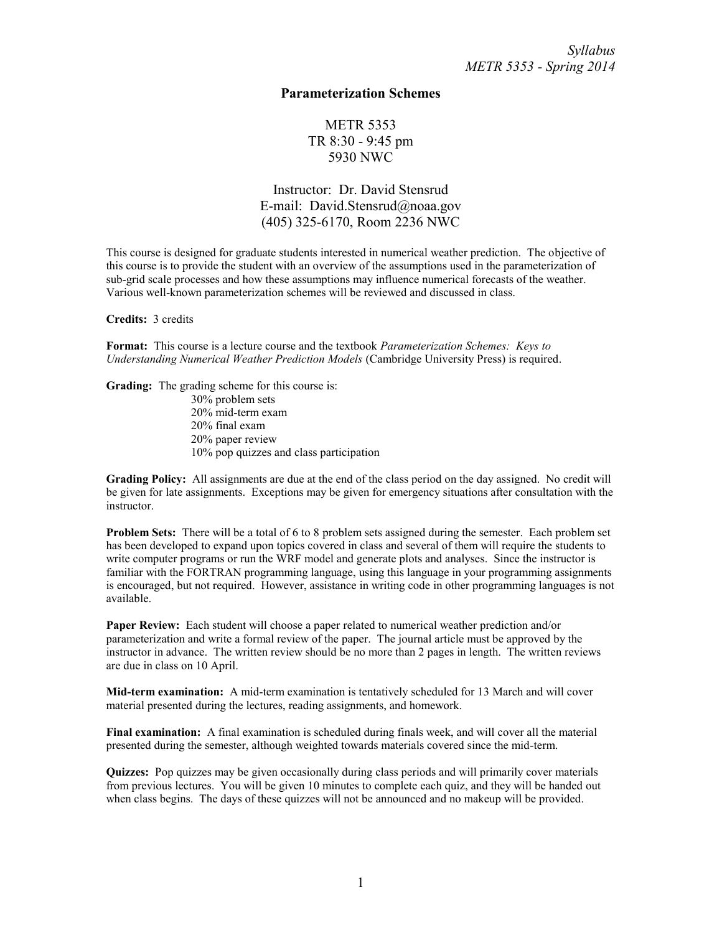## **Parameterization Schemes**

**METR 5353** TR 8:30 - 9:45 pm 5930 NWC

Instructor: Dr. David Stensrud E-mail: David.Stensrud@noaa.gov (405) 325-6170, Room 2236 NWC

This course is designed for graduate students interested in numerical weather prediction. The objective of this course is to provide the student with an overview of the assumptions used in the parameterization of sub-grid scale processes and how these assumptions may influence numerical forecasts of the weather. Various well-known parameterization schemes will be reviewed and discussed in class.

**Credits:** 3 credits

**Format:** This course is a lecture course and the textbook *Parameterization Schemes: Keys to Understanding Numerical Weather Prediction Models* (Cambridge University Press) is required.

**Grading:** The grading scheme for this course is: 30% problem sets 20% mid-term exam 20% final exam 20% paper review 10% pop quizzes and class participation

**Grading Policy:** All assignments are due at the end of the class period on the day assigned. No credit will be given for late assignments. Exceptions may be given for emergency situations after consultation with the instructor.

**Problem Sets:** There will be a total of 6 to 8 problem sets assigned during the semester. Each problem set has been developed to expand upon topics covered in class and several of them will require the students to write computer programs or run the WRF model and generate plots and analyses. Since the instructor is familiar with the FORTRAN programming language, using this language in your programming assignments is encouraged, but not required. However, assistance in writing code in other programming languages is not available.

**Paper Review:** Each student will choose a paper related to numerical weather prediction and/or parameterization and write a formal review of the paper. The journal article must be approved by the instructor in advance. The written review should be no more than 2 pages in length. The written reviews are due in class on 10 April.

**Mid-term examination:** A mid-term examination is tentatively scheduled for 13 March and will cover material presented during the lectures, reading assignments, and homework.

**Final examination:** A final examination is scheduled during finals week, and will cover all the material presented during the semester, although weighted towards materials covered since the mid-term.

**Quizzes:** Pop quizzes may be given occasionally during class periods and will primarily cover materials from previous lectures. You will be given 10 minutes to complete each quiz, and they will be handed out when class begins. The days of these quizzes will not be announced and no makeup will be provided.